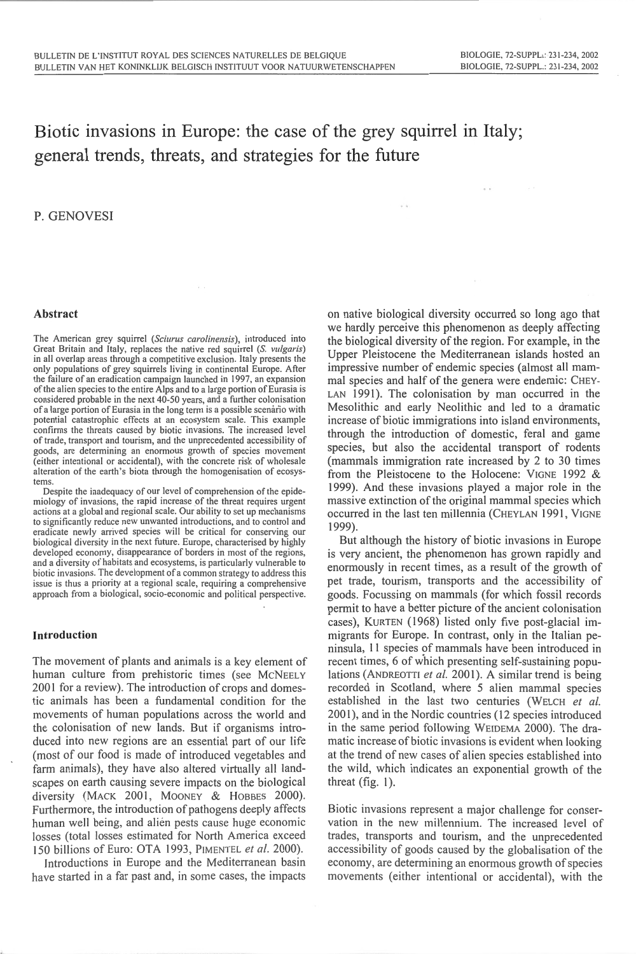# Biotic invasions in Europe: the case of the grey squirrel in Italy; general trends, threats, and strategies for the future

# P. GENOVESI

## Abstract

The American grey squirrel *(Sciurus caro/inensis),* introduced into Great Britain and Italy, replaces the native red squirrel (S. *vulgaris)*  in all overlap areas through a competitive exclusion. Italy presents the only populations of grey squirrels living in continental Europe. After the failure of an eradication campaign launched in 1997, an expansion of the alien species to the entire Alps and to a large portion of Eurasia is considered probable in the next 40-50 years, and a further colonisation of a large portion of Eurasia in the long term is a possible scenario with potential catastrophic effects at an ecosystem scale. This example confirms the threats caused by biotic invasions. The increased level of trade, transport and tourism, and the unprecedented accessibility of goods, are determining an enormous growth of species movement (either intentional or accidental), with the concrete risk of wholesale alteration of the earth's biota through the homogenisation of ecosystems.

Despite the inadequacy of our level of comprehension of the epidemiology of invasions, the rapid increase of the threat requires urgent actions at a global and regional scale. Our ability to set up mechanisms to significantly reduce new unwanted introductions, and to control and eradicate newly arrived species will be critical for conserving our biological diversity in the next future. Europe, characterised by highly developed economy, disappearance of borders in most of the regions, and a diversity of habitats and ecosystems, is particularly vulnerable to biotic invasions. The development of a common strategy to address this issue is thus a priority at a regional scale, requiring a comprehensive approach from a biological, socio-economic and political perspective.

#### **Introduction**

The movement of plants and animals is a key element of human culture from prehistoric times (see McNEELY 2001 for a review). The introduction of crops and domestic animals has been a fundamental condition for the movements of human populations across the world and the colonisation of new lands. But if organisms introduced into new regions are an essential part of our life (most of our food is made of introduced vegetables and farm animals), they have also altered virtually all landscapes on earth causing severe impacts on the biological diversity (MACK 2001, MOONEY & HOBBES 2000). Furthermore, the introduction of pathogens deeply affects human well being, and alien pests cause huge economic losses (total losses estimated for North America exceed 150 billions of Euro: OTA 1993, PiMENTEL *et al.* 2000).

Introductions in Europe and the Mediterranean basin have started in a far past and, in some cases, the impacts on native biological diversity occurred so long ago that we hardly perceive this phenomenon as deeply affecting the biological diversity of the region. For example, in the Upper Pleistocene the Mediterranean islands hosted an impressive number of endemic species (almost all mammal species and half of the genera were endemic: CHEY-LAN 1991). The colonisation by man occurred in the Mesolithic and early Neolithic and led to a dramatic increase of biotic immigrations into island environments, through the introduction of domestic, feral and game species, but also the accidental transport of rodents (mammals immigration rate increased by 2 to 30 times from the Pleistocene to the Holocene: YIGNE 1992 & 1999). And these invasions played a major role in the massive extinction of the original mammal species which occurred in the last ten millennia (CHEYLAN 1991, VIGNE 1999).

 $\alpha$  .  $\alpha$  .

But although the history of biotic invasions in Europe is very ancient, the phenomenon has grown rapidly and enormously in recent times, as a result of the growth of pet trade, tourism, transports and the accessibility of goods. Focussing on mammals (for which fossil records permit to have a better picture of the ancient colonisation cases), KURTEN ( 1968) listed only five post-glacial immigrants for Europe. In contrast, only in the Italian peninsula, II species of mammals have been introduced in recent times, 6 of which presenting self-sustaining populations (ANDREOTTI et al. 2001). A similar trend is being recorded in Scotland, where 5 alien mammal species established in the last two centuries (WELCH *et a/.*  2001), and in the Nordic countries (12 species introduced in the same period following WEIDEMA 2000). The dramatic increase of biotic invasions is evident when looking at the trend of new cases of alien species established into the wild, which indicates an exponential growth of the threat (fig. I).

Biotic invasions represent a major challenge for conservation in the new millennium. The increased level of trades, transports and tourism, and the unprecedented accessibility of goods caused by the globalisation of the economy, are determining an enormous growth of species movements (either intentional or accidental), with the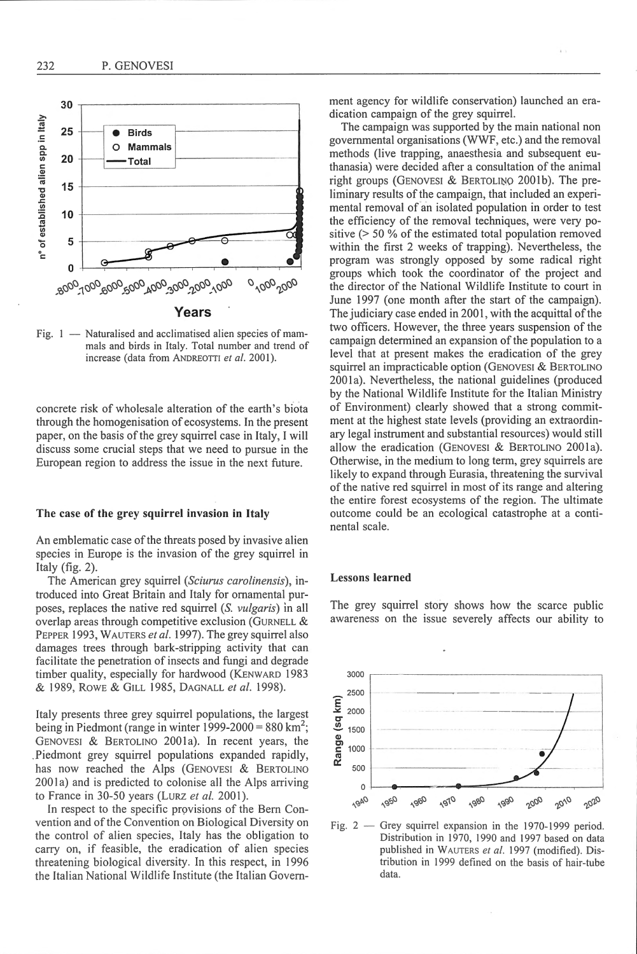

Fig.  $1 -$  Naturalised and acclimatised alien species of mammals and birds in Italy. Total number and trend of increase (data from ANDREOTTI et al. 2001).

concrete risk of wholesale alteration of the earth's biota through the homogenisation of ecosystems. In the present paper, on the basis of the grey squirrel case in Italy, I will discuss some cmcial steps that we need to pursue in the European region to address the issue in the next future.

### The case of the grey squirrel invasion in Italy

An emblematic case of the threats posed by invasive alien species in Europe is the invasion of the grey squirrel in Italy (fig. 2).

The American grey squirrel *(Sciurus carolinensis),* introduced into Great Britain and Italy for ornamental purposes, replaces the native red squirrel (S. *vulgaris*) in all overlap areas through competitive exclusion (GURNELL & PEPPER 1993, WAUTERS *et al.* 1997). The grey squirrel also damages trees through bark-stripping activity that can facilitate the penetration of insects and fungi and degrade timber quality, especially for hardwood (KENWARD 1983 & 1989, ROWE & GILL 1985, DAGNALL *eta/.* 1998).

Italy presents three grey squirrel populations, the largest being in Piedmont (range in winter 1999-2000 =  $880 \text{ km}^2$ ; GENOVESI & BERTOLINO 2001a). In recent years, the .Piedmont grey squinel populations expanded rapidly, has now reached the Alps (GENOVESI & BERTOLINO 2001a) and is predicted to colonise all the Alps arriving to France in 30-50 years (LURZ *et al.* 2001).

In respect to the specific provisions of the Bern Convention and of the Convention on Biological Diversity on the control of alien species, Italy has the obligation to carry on, if feasible, the eradication of alien species threatening biological diversity. In this respect, in 1996 the Jtalian National Wildlife Institute (the Italian Government agency for wildlife conservation) launched an eradication campaign of the grey squirrel.

The campaign was supported by the main national non governmental organisations (WWF, etc.) and the removal methods (live trapping, anaesthesia and subsequent euthanasia) were decided after a consultation of the animal right groups (GENOVESI & BERTOLINO 2001b). The preliminary results of the campaign, that included an experimental removal of an isolated population in order to test the efficiency of the removal techniques, were very positive (> 50 % of the estimated total population removed within the first 2 weeks of trapping). Nevertheless, the program was strongly opposed by some radical right groups which took the coordinator of the project and the director of the National Wildlife Institute to court in June 1997 (one month after the start of the campaign). The judiciary case ended in 2001, with the acquittal of the two officers. However, the three years suspension of the campaign determined an expansion of the population to a level that at present makes the eradication of the grey squirrel an impracticable option (GENOVESI & BERTOLINO 2001a). Nevertheless, the national guidelines (produced by the National Wildlife Institute for the Italian Ministry of Environment) clearly showed that a strong commitment at the highest state levels (providing an extraordinary legal instrument and substantial resources) would still allow the eradication (GENOVESI & BERTOLINO 2001a). Otherwise, in the medium to long term, grey squirrels are likely to expand through Eurasia, threatening the survival of the native red squirrel in most of its range and altering the entire forest ecosystems of the region. The ultimate outcome could be an ecological catastrophe at a continental scale.

## Lessons learned

The grey squirrel story shows how the scarce public awareness on the issue severely affects our ability to



Fig. 2 - Grey squirrel expansion in the 1970-1999 period. Distribution in 1970, 1990 and 1997 based on data published in <sup>W</sup> AUTERS *et a/.* 1997 (modified). Distribution in 1999 defined on the basis of hair-tube data.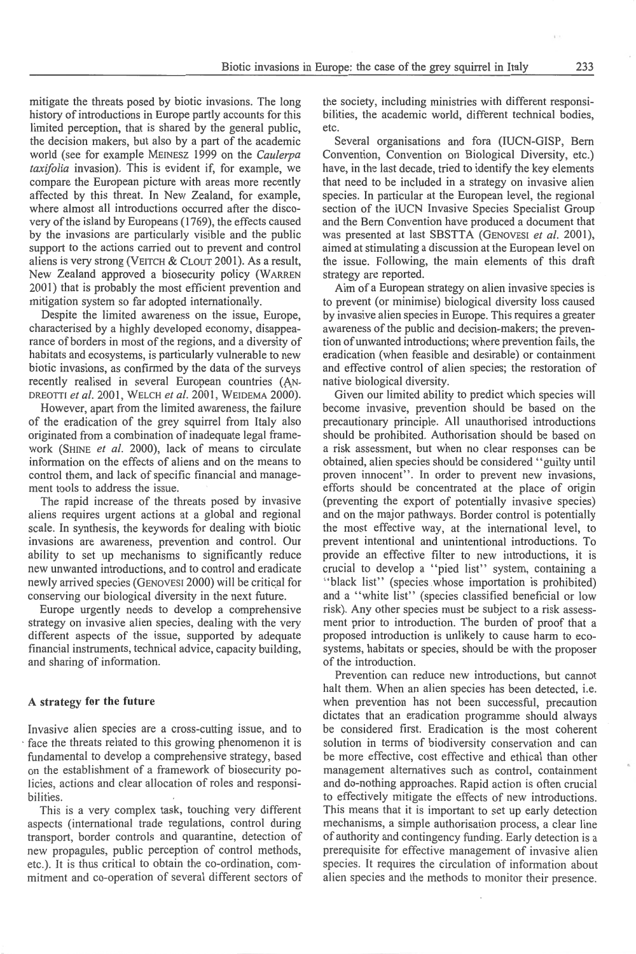mitigate the threats posed by biotic invasions. The long history of introductions in Europe partly accounts for this limited perception, that is shared by the general public, the decision makers, but also by a part of the academic world (see for example MEINESZ 1999 on the *Caulerpa taxifolia* invasion). This is evident if, for example, we compare the European picture with areas more recently affected by this threat. fn New Zealand, for example, where almost all introductions occurred after the discovery of the island by Europeans ( 1769), the effects caused by the invasions are particularly visible and the public support to the actions carried out to prevent and control aliens is very strong (VEITCH & CLOUT 2001). As a result, New Zealand approved a biosecurity policy (WARREN 2001) that is probably the most efficient prevention and mitigation system so far adopted internationally.

Despite the limited awareness on the issue, Europe, characterised by a highly developed economy, disappearance of borders in most of the regions, and a diversity of habitats and ecosystems, is particularly vulnerable to new biotic invasions, as confirmed by the data of the surveys recently realised in several European countries (AN-DREOTTI *et a/.* 200 I, WELCH *et a/.* 200 I, WEIDEMA 2000).

However, apart from the limited awareness, the failure of the eradication of the grey squirrel from Italy also originated from a combination of inadequate legal framework (SHINE *et al.* 2000), lack of means to circulate information on the effects of aliens and on the means to control them, and lack of specific financial and management tools to address the issue.

The rapid increase of the threats posed by invasive aliens requires urgent actions at a global and regional scale. In synthesis, the keywords for dealing with biotic invasions are awareness, prevention and control. Our ability to set up mechanisms to significantly reduce new unwanted introductions, and to control and eradicate newly arrived species (GENOVESI 2000) will be critical for conserving our biological diversity in the next future.

Europe urgently needs to develop a comprehensive strategy on invasive alien species, dealing with the very different aspects of the issue, supported by adequate financial instruments, technical advice, capacity building, and sharing of information.

#### A strategy **for the future**

Invasive alien species are a cross-cutting issue, and to · face the threats related to this growing phenomenon it is fundamental to develop a comprehensive strategy, based on the establishment of a framework of biosecurity policies, actions and clear allocation of roles and responsibilities.

This is a very complex task, touching very different aspects (international trade regulations, control during transport, border controls and quarantine, detection of new propagules, public perception of control methods, etc.). It is thus critical to obtain the co-ordination, commitment and co-operation of several different sectors of

the society, including ministries with different responsibilities, the academic world, different technical bodies, etc.

Several organisations and fora (IUCN-GISP, Bern Convention, Convention on Biological Diversity, etc.) have, in the last decade, tried to identify the key elements that need to be included in a strategy on invasive alien species. In particular at the European level, the regional section of the IUCN Invasive Species Specialist Group and the Bern Convention have produced a document that was presented at last SBSTTA (GENOVESI et al. 2001), aimed at stimulating a discussion at the European level on the issue. Following, the main elements of this draft strategy are reported.

Aim of a European strategy on alien invasive species is to prevent (or minimise) biological diversity loss caused by invasive alien species in Europe. This requires a greater awareness of the public and decision-makers; the prevention of unwanted introductions; where prevention fails, the eradication (when feasible and desirable) or containment and effective control of alien species; the restoration of native biological diversity.

Given our limited ability to predict which species will become invasive, prevention should be based on the precautionary principle. All unauthorised introductions should be prohibited. Authorisation should be based on a risk assessment, but when no clear responses can be obtained, alien species should be considered "guilty until proven innocent". In order to prevent new invasions, efforts should be concentrated at the place of origin (preventing the expoti of potentially invasive species) and on the major pathways. Border control is potentially the most effective way, at the international level, to prevent intentional and unintentional introductions. To provide an effective filter to new introductions, it is crucial to develop a "pied list" system, containing a "black list" (species . whose importation is prohibited) and a "white list" (species classified beneficial or low risk). Any other species must be subject to a risk assessment prior to introduction. The burden of proof that a proposed introduction is unlikely to cause harm to ecosystems, habitats or species, should be with the proposer of the introduction.

Prevention can reduce new introductions, but cannot halt them. When an alien species has been detected, i.e. when prevention has not been successful, precaution dictates that an eradication programme should always be considered first. Eradication is the most coherent solution in terms of biodiversity conservation and can be more effective, cost effective and ethical than other management alternatives such as control, containment and do-nothing approaches. Rapid action is often crucial to effectively mitigate the effects of new introductions. This means that it is important to set up early detection mechanisms, a simple authorisation process, a clear line of authority and contingency funding. Early detection is a prerequisite for effective management of invasive alien species. It requires the circulation of information about alien species and the methods to monitor their presence.